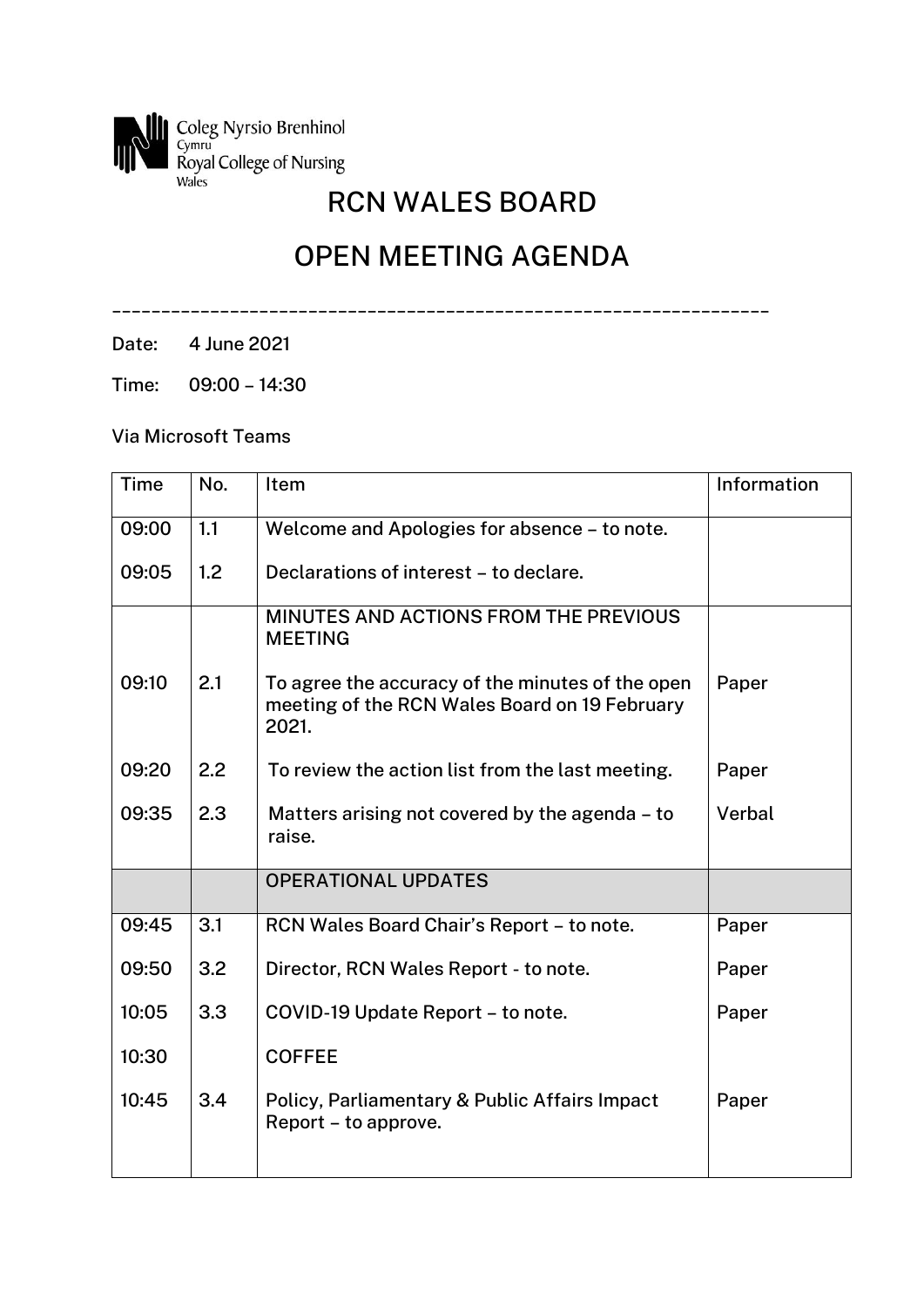

## RCN WALES BOARD

## OPEN MEETING AGENDA

\_\_\_\_\_\_\_\_\_\_\_\_\_\_\_\_\_\_\_\_\_\_\_\_\_\_\_\_\_\_\_\_\_\_\_\_\_\_\_\_\_\_\_\_\_\_\_\_\_\_\_\_\_\_\_\_\_\_\_\_\_\_\_\_\_\_\_

Date: 4 June 2021

Time: 09:00 – 14:30

Via Microsoft Teams

| Time  | No. | Item                                                                                                       | Information |
|-------|-----|------------------------------------------------------------------------------------------------------------|-------------|
| 09:00 | 1.1 | Welcome and Apologies for absence - to note.                                                               |             |
| 09:05 | 1.2 | Declarations of interest - to declare.                                                                     |             |
|       |     | MINUTES AND ACTIONS FROM THE PREVIOUS<br><b>MEETING</b>                                                    |             |
| 09:10 | 2.1 | To agree the accuracy of the minutes of the open<br>meeting of the RCN Wales Board on 19 February<br>2021. | Paper       |
| 09:20 | 2.2 | To review the action list from the last meeting.                                                           | Paper       |
| 09:35 | 2.3 | Matters arising not covered by the agenda - to<br>raise.                                                   | Verbal      |
|       |     | <b>OPERATIONAL UPDATES</b>                                                                                 |             |
| 09:45 | 3.1 | RCN Wales Board Chair's Report - to note.                                                                  | Paper       |
| 09:50 | 3.2 | Director, RCN Wales Report - to note.                                                                      | Paper       |
| 10:05 | 3.3 | COVID-19 Update Report - to note.                                                                          | Paper       |
| 10:30 |     | <b>COFFEE</b>                                                                                              |             |
| 10:45 | 3.4 | Policy, Parliamentary & Public Affairs Impact<br>Report – to approve.                                      | Paper       |
|       |     |                                                                                                            |             |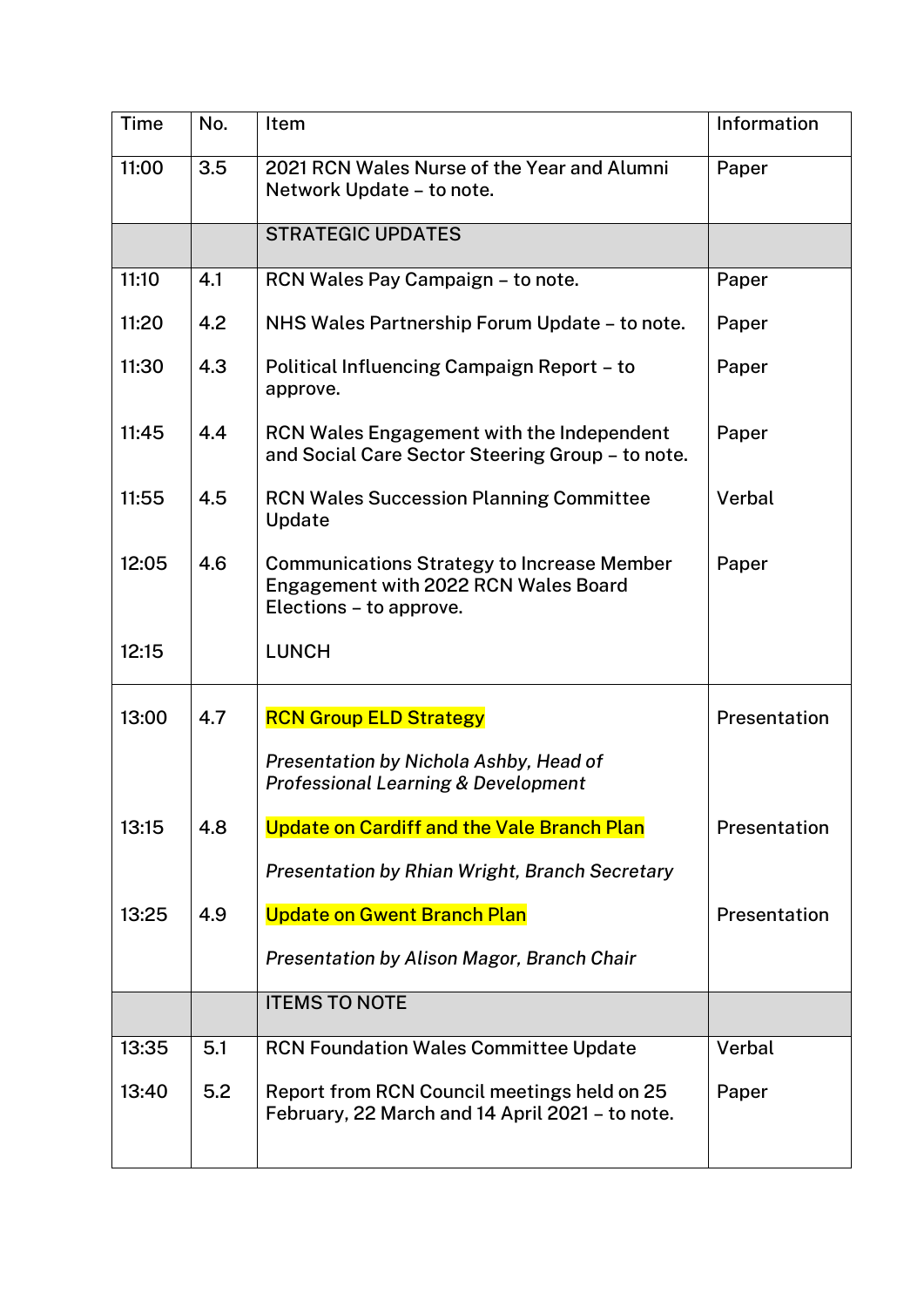| <b>Time</b> | No. | Item                                                                                                                 | Information  |
|-------------|-----|----------------------------------------------------------------------------------------------------------------------|--------------|
| 11:00       | 3.5 | 2021 RCN Wales Nurse of the Year and Alumni<br>Network Update – to note.                                             | Paper        |
|             |     | <b>STRATEGIC UPDATES</b>                                                                                             |              |
| 11:10       | 4.1 | RCN Wales Pay Campaign - to note.                                                                                    | Paper        |
| 11:20       | 4.2 | NHS Wales Partnership Forum Update - to note.                                                                        | Paper        |
| 11:30       | 4.3 | Political Influencing Campaign Report - to<br>approve.                                                               | Paper        |
| 11:45       | 4.4 | RCN Wales Engagement with the Independent<br>and Social Care Sector Steering Group - to note.                        | Paper        |
| 11:55       | 4.5 | <b>RCN Wales Succession Planning Committee</b><br>Update                                                             | Verbal       |
| 12:05       | 4.6 | <b>Communications Strategy to Increase Member</b><br>Engagement with 2022 RCN Wales Board<br>Elections - to approve. | Paper        |
| 12:15       |     | <b>LUNCH</b>                                                                                                         |              |
| 13:00       | 4.7 | <b>RCN Group ELD Strategy</b>                                                                                        | Presentation |
|             |     | Presentation by Nichola Ashby, Head of<br><b>Professional Learning &amp; Development</b>                             |              |
| 13:15       | 4.8 | <b>Update on Cardiff and the Vale Branch Plan</b>                                                                    | Presentation |
|             |     | Presentation by Rhian Wright, Branch Secretary                                                                       |              |
| 13:25       | 4.9 | <b>Update on Gwent Branch Plan</b>                                                                                   | Presentation |
|             |     | Presentation by Alison Magor, Branch Chair                                                                           |              |
|             |     | <b>ITEMS TO NOTE</b>                                                                                                 |              |
| 13:35       | 5.1 | <b>RCN Foundation Wales Committee Update</b>                                                                         | Verbal       |
| 13:40       | 5.2 | Report from RCN Council meetings held on 25<br>February, 22 March and 14 April 2021 - to note.                       | Paper        |